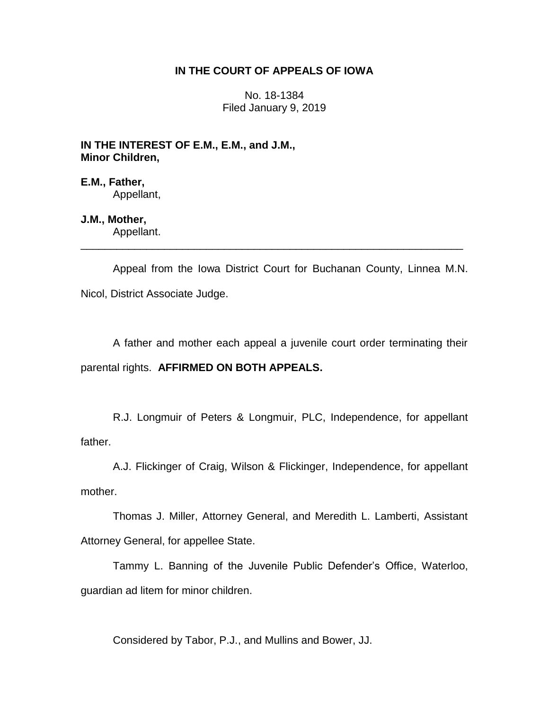# **IN THE COURT OF APPEALS OF IOWA**

No. 18-1384 Filed January 9, 2019

**IN THE INTEREST OF E.M., E.M., and J.M., Minor Children,**

**E.M., Father,** Appellant,

**J.M., Mother,** Appellant.

Appeal from the Iowa District Court for Buchanan County, Linnea M.N. Nicol, District Associate Judge.

\_\_\_\_\_\_\_\_\_\_\_\_\_\_\_\_\_\_\_\_\_\_\_\_\_\_\_\_\_\_\_\_\_\_\_\_\_\_\_\_\_\_\_\_\_\_\_\_\_\_\_\_\_\_\_\_\_\_\_\_\_\_\_\_

A father and mother each appeal a juvenile court order terminating their parental rights. **AFFIRMED ON BOTH APPEALS.**

R.J. Longmuir of Peters & Longmuir, PLC, Independence, for appellant father.

A.J. Flickinger of Craig, Wilson & Flickinger, Independence, for appellant mother.

Thomas J. Miller, Attorney General, and Meredith L. Lamberti, Assistant Attorney General, for appellee State.

Tammy L. Banning of the Juvenile Public Defender's Office, Waterloo, guardian ad litem for minor children.

Considered by Tabor, P.J., and Mullins and Bower, JJ.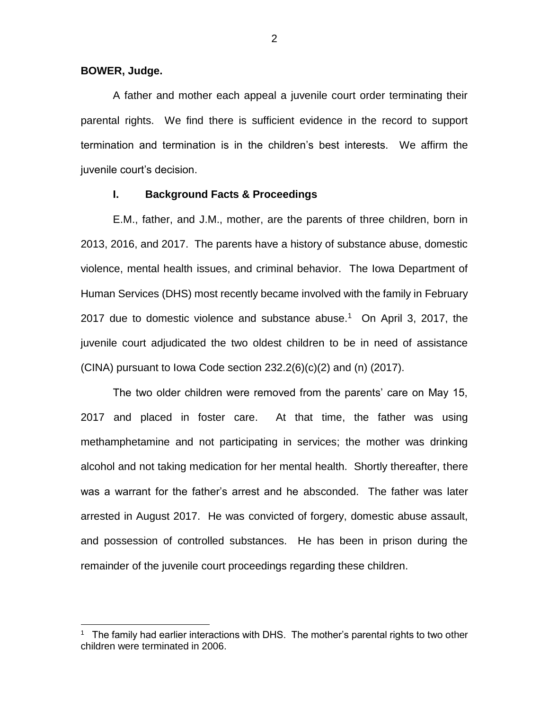**BOWER, Judge.**

 $\overline{a}$ 

A father and mother each appeal a juvenile court order terminating their parental rights. We find there is sufficient evidence in the record to support termination and termination is in the children's best interests. We affirm the juvenile court's decision.

#### **I. Background Facts & Proceedings**

E.M., father, and J.M., mother, are the parents of three children, born in 2013, 2016, and 2017. The parents have a history of substance abuse, domestic violence, mental health issues, and criminal behavior. The Iowa Department of Human Services (DHS) most recently became involved with the family in February 2017 due to domestic violence and substance abuse.<sup>1</sup> On April 3, 2017, the juvenile court adjudicated the two oldest children to be in need of assistance  $(CINA)$  pursuant to lowa Code section  $232.2(6)(c)(2)$  and  $(n)$   $(2017)$ .

The two older children were removed from the parents' care on May 15, 2017 and placed in foster care. At that time, the father was using methamphetamine and not participating in services; the mother was drinking alcohol and not taking medication for her mental health. Shortly thereafter, there was a warrant for the father's arrest and he absconded. The father was later arrested in August 2017. He was convicted of forgery, domestic abuse assault, and possession of controlled substances. He has been in prison during the remainder of the juvenile court proceedings regarding these children.

<sup>1</sup> The family had earlier interactions with DHS. The mother's parental rights to two other children were terminated in 2006.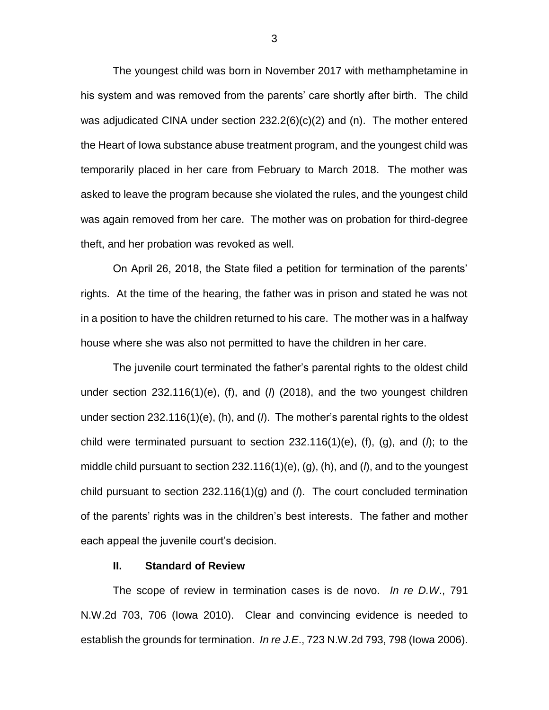The youngest child was born in November 2017 with methamphetamine in his system and was removed from the parents' care shortly after birth. The child was adjudicated CINA under section 232.2(6)(c)(2) and (n). The mother entered the Heart of Iowa substance abuse treatment program, and the youngest child was temporarily placed in her care from February to March 2018. The mother was asked to leave the program because she violated the rules, and the youngest child was again removed from her care. The mother was on probation for third-degree theft, and her probation was revoked as well.

On April 26, 2018, the State filed a petition for termination of the parents' rights. At the time of the hearing, the father was in prison and stated he was not in a position to have the children returned to his care. The mother was in a halfway house where she was also not permitted to have the children in her care.

The juvenile court terminated the father's parental rights to the oldest child under section 232.116(1)(e), (f), and (*l*) (2018), and the two youngest children under section 232.116(1)(e), (h), and (*l*). The mother's parental rights to the oldest child were terminated pursuant to section  $232.116(1)(e)$ , (f), (q), and ( $\Lambda$ ); to the middle child pursuant to section 232.116(1)(e), (g), (h), and (*l*), and to the youngest child pursuant to section 232.116(1)(g) and (*l*). The court concluded termination of the parents' rights was in the children's best interests. The father and mother each appeal the juvenile court's decision.

### **II. Standard of Review**

The scope of review in termination cases is de novo. *In re D.W*., 791 N.W.2d 703, 706 (Iowa 2010). Clear and convincing evidence is needed to establish the grounds for termination. *In re J.E*., 723 N.W.2d 793, 798 (Iowa 2006).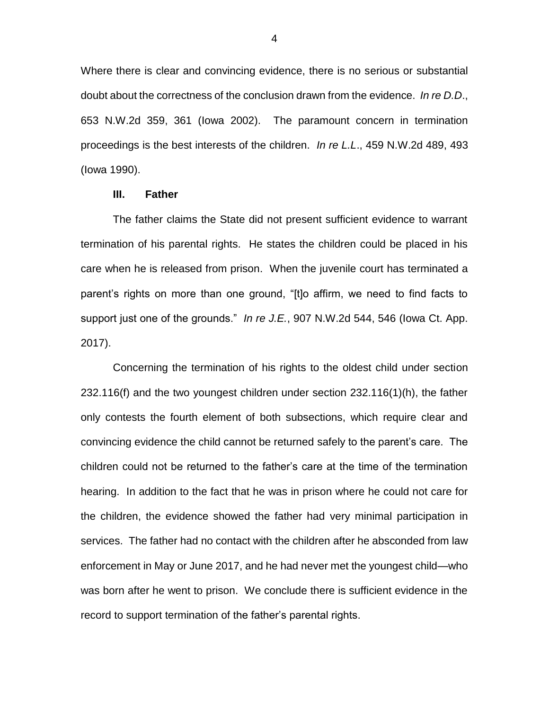Where there is clear and convincing evidence, there is no serious or substantial doubt about the correctness of the conclusion drawn from the evidence. *In re D.D*., 653 N.W.2d 359, 361 (Iowa 2002). The paramount concern in termination proceedings is the best interests of the children. *In re L.L*., 459 N.W.2d 489, 493 (Iowa 1990).

## **III. Father**

The father claims the State did not present sufficient evidence to warrant termination of his parental rights. He states the children could be placed in his care when he is released from prison. When the juvenile court has terminated a parent's rights on more than one ground, "[t]o affirm, we need to find facts to support just one of the grounds." *In re J.E.*, 907 N.W.2d 544, 546 (Iowa Ct. App. 2017).

Concerning the termination of his rights to the oldest child under section 232.116(f) and the two youngest children under section 232.116(1)(h), the father only contests the fourth element of both subsections, which require clear and convincing evidence the child cannot be returned safely to the parent's care. The children could not be returned to the father's care at the time of the termination hearing. In addition to the fact that he was in prison where he could not care for the children, the evidence showed the father had very minimal participation in services. The father had no contact with the children after he absconded from law enforcement in May or June 2017, and he had never met the youngest child—who was born after he went to prison. We conclude there is sufficient evidence in the record to support termination of the father's parental rights.